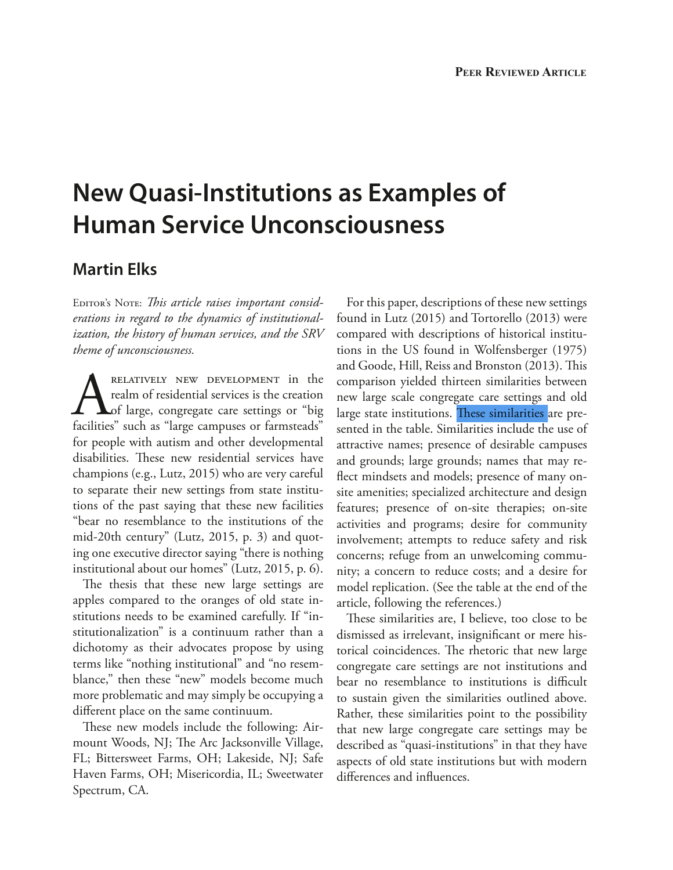# **New Quasi-Institutions as Examples of Human Service Unconsciousness**

## **Martin Elks**

EDITOR'S NOTE: This article raises important consid*erations in regard to the dynamics of institutionalization, the history of human services, and the SRV theme of unconsciousness.*

RELATIVELY NEW DEVELOPMENT in the realm of residential services is the creation of large, congregate care settings or "big facilities" such as "large campuses or farmsteads" realm of residential services is the creation of large, congregate care settings or "big facilities" such as "large campuses or farmsteads" for people with autism and other developmental disabilities. These new residential services have champions (e.g., Lutz, 2015) who are very careful to separate their new settings from state institutions of the past saying that these new facilities "bear no resemblance to the institutions of the mid-20th century" (Lutz, 2015, p. 3) and quoting one executive director saying "there is nothing institutional about our homes" (Lutz, 2015, p. 6).

The thesis that these new large settings are apples compared to the oranges of old state institutions needs to be examined carefully. If "institutionalization" is a continuum rather than a dichotomy as their advocates propose by using terms like "nothing institutional" and "no resemblance," then these "new" models become much more problematic and may simply be occupying a diferent place on the same continuum.

These new models include the following: Airmount Woods, NJ; The Arc Jacksonville Village, FL; Bittersweet Farms, OH; Lakeside, NJ; Safe Haven Farms, OH; Misericordia, IL; Sweetwater Spectrum, CA.

For this paper, descriptions of these new settings found in Lutz (2015) and Tortorello (2013) were compared with descriptions of historical institutions in the US found in Wolfensberger (1975) and Goode, Hill, Reiss and Bronston (2013). This comparison yielded thirteen similarities between new large scale congregate care settings and old large state institutions. These similarities are presented in the table. Similarities include the use of attractive names; presence of desirable campuses and grounds; large grounds; names that may refect mindsets and models; presence of many onsite amenities; specialized architecture and design features; presence of on-site therapies; on-site activities and programs; desire for community involvement; attempts to reduce safety and risk concerns; refuge from an unwelcoming community; a concern to reduce costs; and a desire for model replication. (See the table at the end of the article, following the references.)

These similarities are, I believe, too close to be dismissed as irrelevant, insignifcant or mere historical coincidences. The rhetoric that new large congregate care settings are not institutions and bear no resemblance to institutions is difficult to sustain given the similarities outlined above. Rather, these similarities point to the possibility that new large congregate care settings may be described as "quasi-institutions" in that they have aspects of old state institutions but with modern diferences and infuences.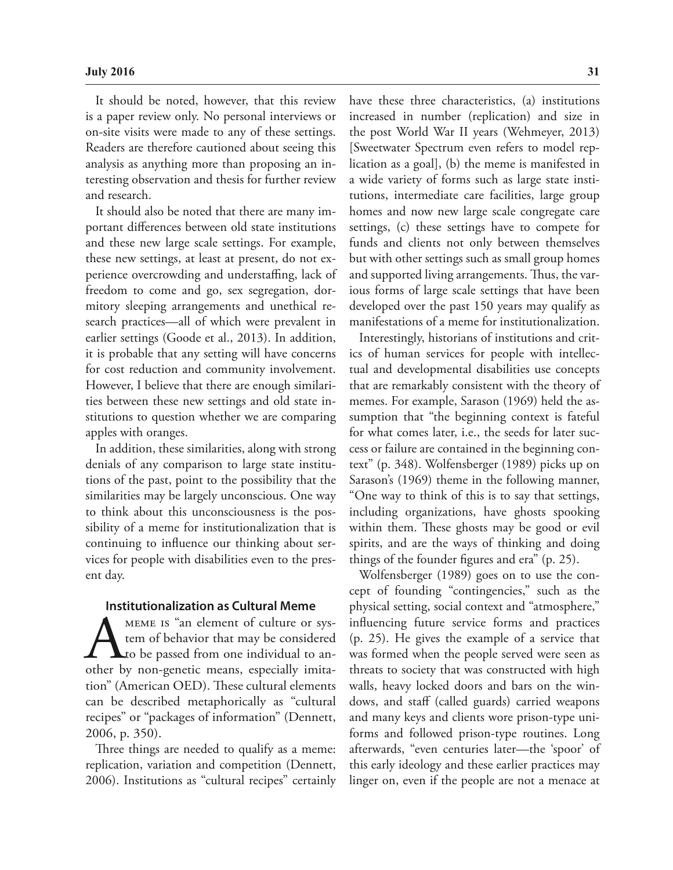It should be noted, however, that this review is a paper review only. No personal interviews or on-site visits were made to any of these settings. Readers are therefore cautioned about seeing this analysis as anything more than proposing an interesting observation and thesis for further review and research.

It should also be noted that there are many important diferences between old state institutions and these new large scale settings. For example, these new settings, at least at present, do not experience overcrowding and understafng, lack of freedom to come and go, sex segregation, dormitory sleeping arrangements and unethical research practices—all of which were prevalent in earlier settings (Goode et al., 2013). In addition, it is probable that any setting will have concerns for cost reduction and community involvement. However, I believe that there are enough similarities between these new settings and old state institutions to question whether we are comparing apples with oranges.

In addition, these similarities, along with strong denials of any comparison to large state institutions of the past, point to the possibility that the similarities may be largely unconscious. One way to think about this unconsciousness is the possibility of a meme for institutionalization that is continuing to infuence our thinking about services for people with disabilities even to the present day.

### **Institutionalization as Cultural Meme**

MEME IS "an element of culture or system of behavior that may be considered<br>to be passed from one individual to an-<br>other by non-genetic means, especially imitatem of behavior that may be considered to be passed from one individual to another by non-genetic means, especially imitation" (American OED). These cultural elements can be described metaphorically as "cultural recipes" or "packages of information" (Dennett, 2006, p. 350).

Three things are needed to qualify as a meme: replication, variation and competition (Dennett, 2006). Institutions as "cultural recipes" certainly have these three characteristics, (a) institutions increased in number (replication) and size in the post World War II years (Wehmeyer, 2013) [Sweetwater Spectrum even refers to model replication as a goal], (b) the meme is manifested in a wide variety of forms such as large state institutions, intermediate care facilities, large group homes and now new large scale congregate care settings, (c) these settings have to compete for funds and clients not only between themselves but with other settings such as small group homes and supported living arrangements. Thus, the various forms of large scale settings that have been developed over the past 150 years may qualify as manifestations of a meme for institutionalization.

Interestingly, historians of institutions and critics of human services for people with intellectual and developmental disabilities use concepts that are remarkably consistent with the theory of memes. For example, Sarason (1969) held the assumption that "the beginning context is fateful for what comes later, i.e., the seeds for later success or failure are contained in the beginning context" (p. 348). Wolfensberger (1989) picks up on Sarason's (1969) theme in the following manner, "One way to think of this is to say that settings, including organizations, have ghosts spooking within them. These ghosts may be good or evil spirits, and are the ways of thinking and doing things of the founder fgures and era" (p. 25).

Wolfensberger (1989) goes on to use the concept of founding "contingencies," such as the physical setting, social context and "atmosphere," infuencing future service forms and practices (p. 25). He gives the example of a service that was formed when the people served were seen as threats to society that was constructed with high walls, heavy locked doors and bars on the windows, and staff (called guards) carried weapons and many keys and clients wore prison-type uniforms and followed prison-type routines. Long afterwards, "even centuries later—the 'spoor' of this early ideology and these earlier practices may linger on, even if the people are not a menace at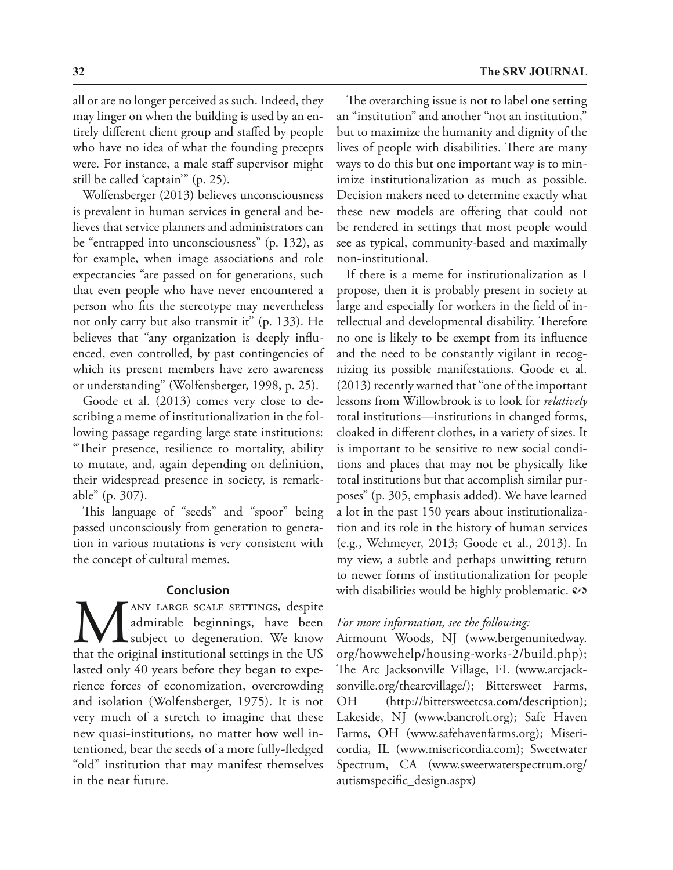all or are no longer perceived as such. Indeed, they may linger on when the building is used by an entirely diferent client group and stafed by people who have no idea of what the founding precepts were. For instance, a male staff supervisor might still be called 'captain'" (p. 25).

Wolfensberger (2013) believes unconsciousness is prevalent in human services in general and believes that service planners and administrators can be "entrapped into unconsciousness" (p. 132), as for example, when image associations and role expectancies "are passed on for generations, such that even people who have never encountered a person who fts the stereotype may nevertheless not only carry but also transmit it" (p. 133). He believes that "any organization is deeply infuenced, even controlled, by past contingencies of which its present members have zero awareness or understanding" (Wolfensberger, 1998, p. 25).

Goode et al. (2013) comes very close to describing a meme of institutionalization in the following passage regarding large state institutions: "Their presence, resilience to mortality, ability to mutate, and, again depending on defnition, their widespread presence in society, is remarkable" (p. 307).

This language of "seeds" and "spoor" being passed unconsciously from generation to generation in various mutations is very consistent with the concept of cultural memes.

### **Conclusion**

MANY LARGE SCALE SETTINGS, despite admirable beginnings, have been subject to degeneration. We know that the original institutional settings in the US admirable beginnings, have been subject to degeneration. We know lasted only 40 years before they began to experience forces of economization, overcrowding and isolation (Wolfensberger, 1975). It is not very much of a stretch to imagine that these new quasi-institutions, no matter how well intentioned, bear the seeds of a more fully-fedged "old" institution that may manifest themselves in the near future.

The overarching issue is not to label one setting an "institution" and another "not an institution," but to maximize the humanity and dignity of the lives of people with disabilities. There are many ways to do this but one important way is to minimize institutionalization as much as possible. Decision makers need to determine exactly what these new models are offering that could not be rendered in settings that most people would see as typical, community-based and maximally non-institutional.

If there is a meme for institutionalization as I propose, then it is probably present in society at large and especially for workers in the feld of intellectual and developmental disability. Therefore no one is likely to be exempt from its infuence and the need to be constantly vigilant in recognizing its possible manifestations. Goode et al. (2013) recently warned that "one of the important lessons from Willowbrook is to look for *relatively* total institutions—institutions in changed forms, cloaked in diferent clothes, in a variety of sizes. It is important to be sensitive to new social conditions and places that may not be physically like total institutions but that accomplish similar purposes" (p. 305, emphasis added). We have learned a lot in the past 150 years about institutionalization and its role in the history of human services (e.g., Wehmeyer, 2013; Goode et al., 2013). In my view, a subtle and perhaps unwitting return to newer forms of institutionalization for people with disabilities would be highly problematic.  $\mathcal{S}$ 

## *For more information, see the following:*

Airmount Woods, NJ (www.bergenunitedway. org/howwehelp/housing-works-2/build.php); The Arc Jacksonville Village, FL (www.arcjacksonville.org/thearcvillage/); Bittersweet Farms, OH (http://bittersweetcsa.com/description); Lakeside, NJ (www.bancroft.org); Safe Haven Farms, OH (www.safehavenfarms.org); Misericordia, IL (www.misericordia.com); Sweetwater Spectrum, CA (www.sweetwaterspectrum.org/ autismspecifc\_design.aspx)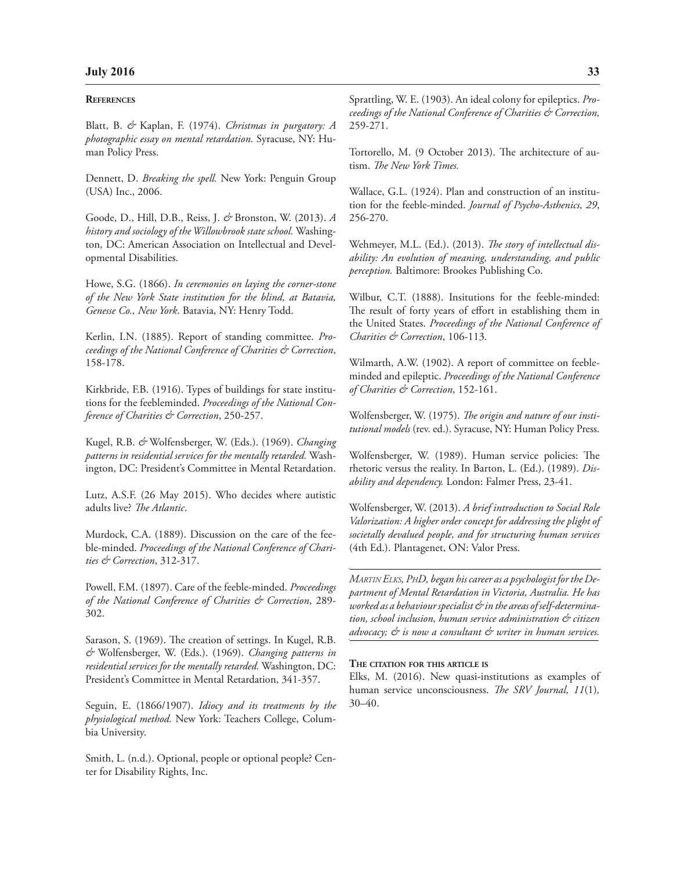#### **REFERENCES**

Blatt, B. *&* Kaplan, F. (1974). *Christmas in purgatory: A photographic essay on mental retardation.* Syracuse, NY: Human Policy Press.

Dennett, D. *Breaking the spell.* New York: Penguin Group (USA) Inc., 2006.

Goode, D., Hill, D.B., Reiss, J. *&* Bronston, W. (2013). *A history and sociology of the Willowbrook state school.* Washington, DC: American Association on Intellectual and Developmental Disabilities.

Howe, S.G. (1866). *In ceremonies on laying the corner-stone of the New York State institution for the blind, at Batavia, Genesse Co., New York*. Batavia, NY: Henry Todd.

Kerlin, I.N. (1885). Report of standing committee. *Proceedings of the National Conference of Charities & Correction*, 158-178.

Kirkbride, F.B. (1916). Types of buildings for state institutions for the feebleminded. *Proceedings of the National Conference of Charities & Correction*, 250-257.

Kugel, R.B. *&* Wolfensberger, W. (Eds.). (1969). *Changing patterns in residential services for the mentally retarded.* Washington, DC: President's Committee in Mental Retardation.

Lutz, A.S.F. (26 May 2015). Who decides where autistic adults live? *Te Atlantic*.

Murdock, C.A. (1889). Discussion on the care of the feeble-minded. *Proceedings of the National Conference of Charities & Correction*, 312-317.

Powell, F.M. (1897). Care of the feeble-minded. *Proceedings of the National Conference of Charities & Correction*, 289- 302.

Sarason, S. (1969). The creation of settings. In Kugel, R.B. *&* Wolfensberger, W. (Eds.). (1969). *Changing patterns in residential services for the mentally retarded.* Washington, DC: President's Committee in Mental Retardation, 341-357.

Seguin, E. (1866/1907). *Idiocy and its treatments by the physiological method.* New York: Teachers College, Columbia University.

Smith, L. (n.d.). Optional, people or optional people? Center for Disability Rights, Inc.

Sprattling, W. E. (1903). An ideal colony for epileptics. *Proceedings of the National Conference of Charities & Correction,*  259-271.

Tortorello, M. (9 October 2013). The architecture of autism. *Te New York Times.*

Wallace, G.L. (1924). Plan and construction of an institution for the feeble-minded. *Journal of Psycho-Asthenics, 29*, 256-270.

Wehmeyer, M.L. (Ed.). (2013). *Te story of intellectual disability: An evolution of meaning, understanding, and public perception.* Baltimore: Brookes Publishing Co.

Wilbur, C.T. (1888). Insitutions for the feeble-minded: The result of forty years of effort in establishing them in the United States. *Proceedings of the National Conference of Charities & Correction*, 106-113.

Wilmarth, A.W. (1902). A report of committee on feebleminded and epileptic. *Proceedings of the National Conference of Charities & Correction*, 152-161.

Wolfensberger, W. (1975). *Te origin and nature of our institutional models* (rev. ed.). Syracuse, NY: Human Policy Press.

Wolfensberger, W. (1989). Human service policies: The rhetoric versus the reality. In Barton, L. (Ed.). (1989). *Disability and dependency.* London: Falmer Press, 23-41.

Wolfensberger, W. (2013). *A brief introduction to Social Role Valorization: A higher order concept for addressing the plight of societally devalued people, and for structuring human services*  (4th Ed.). Plantagenet, ON: Valor Press.

*MARTIN ELKS, PHD, began his career as a psychologist for the Department of Mental Retardation in Victoria, Australia. He has worked as a behaviour specialist & in the areas of self-determination, school inclusion, human service administration & citizen advocacy; & is now a consultant & writer in human services.*

#### **THE CITATION FOR THIS ARTICLE IS**

Elks, M. (2016). New quasi-institutions as examples of human service unconsciousness. *Te SRV Journal, 11*(1)*,*  30–40.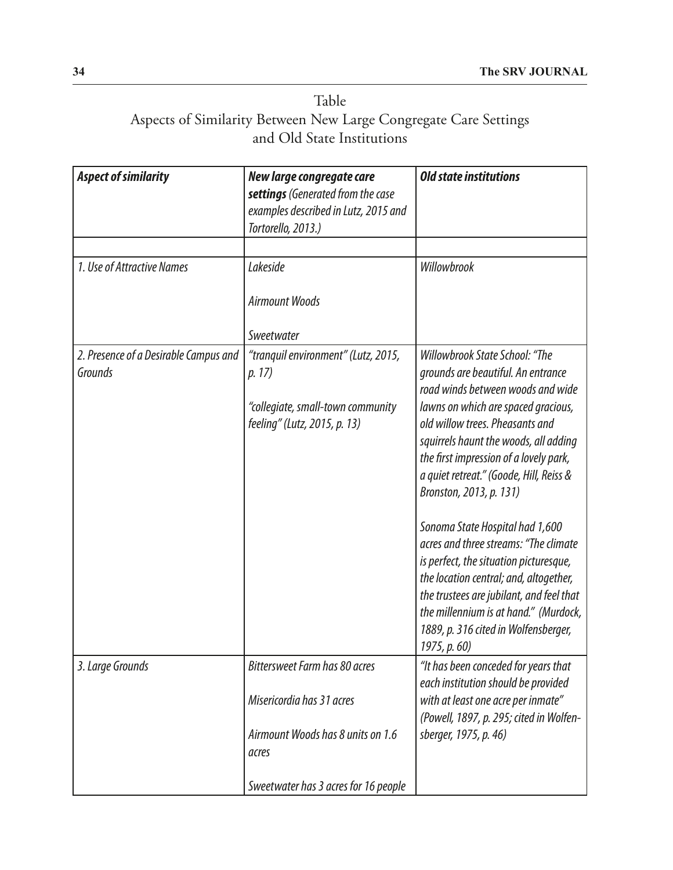# Table Aspects of Similarity Between New Large Congregate Care Settings and Old State Institutions

| <b>Aspect of similarity</b>                      | New large congregate care<br>settings (Generated from the case<br>examples described in Lutz, 2015 and<br>Tortorello, 2013.) | <b>Old state institutions</b>                                                                                                                                                                                                                                                                                                                                                                                                                                                                                                                                                                                                                             |
|--------------------------------------------------|------------------------------------------------------------------------------------------------------------------------------|-----------------------------------------------------------------------------------------------------------------------------------------------------------------------------------------------------------------------------------------------------------------------------------------------------------------------------------------------------------------------------------------------------------------------------------------------------------------------------------------------------------------------------------------------------------------------------------------------------------------------------------------------------------|
|                                                  |                                                                                                                              |                                                                                                                                                                                                                                                                                                                                                                                                                                                                                                                                                                                                                                                           |
| 1. Use of Attractive Names                       | Lakeside<br><b>Airmount Woods</b><br>Sweetwater                                                                              | Willowbrook                                                                                                                                                                                                                                                                                                                                                                                                                                                                                                                                                                                                                                               |
| 2. Presence of a Desirable Campus and<br>Grounds | "tranquil environment" (Lutz, 2015,<br>p. 17)<br>"collegiate, small-town community<br>feeling" (Lutz, 2015, p. 13)           | Willowbrook State School: "The<br>grounds are beautiful. An entrance<br>road winds between woods and wide<br>lawns on which are spaced gracious,<br>old willow trees. Pheasants and<br>squirrels haunt the woods, all adding<br>the first impression of a lovely park,<br>a quiet retreat." (Goode, Hill, Reiss &<br>Bronston, 2013, p. 131)<br>Sonoma State Hospital had 1,600<br>acres and three streams: "The climate<br>is perfect, the situation picturesque,<br>the location central; and, altogether,<br>the trustees are jubilant, and feel that<br>the millennium is at hand." (Murdock,<br>1889, p. 316 cited in Wolfensberger,<br>1975, p. 60) |
| 3. Large Grounds                                 | <b>Bittersweet Farm has 80 acres</b><br>Misericordia has 31 acres                                                            | "It has been conceded for years that<br>each institution should be provided<br>with at least one acre per inmate"                                                                                                                                                                                                                                                                                                                                                                                                                                                                                                                                         |
|                                                  | Airmount Woods has 8 units on 1.6<br>acres                                                                                   | (Powell, 1897, p. 295; cited in Wolfen-<br>sberger, 1975, p. 46)                                                                                                                                                                                                                                                                                                                                                                                                                                                                                                                                                                                          |
|                                                  | Sweetwater has 3 acres for 16 people                                                                                         |                                                                                                                                                                                                                                                                                                                                                                                                                                                                                                                                                                                                                                                           |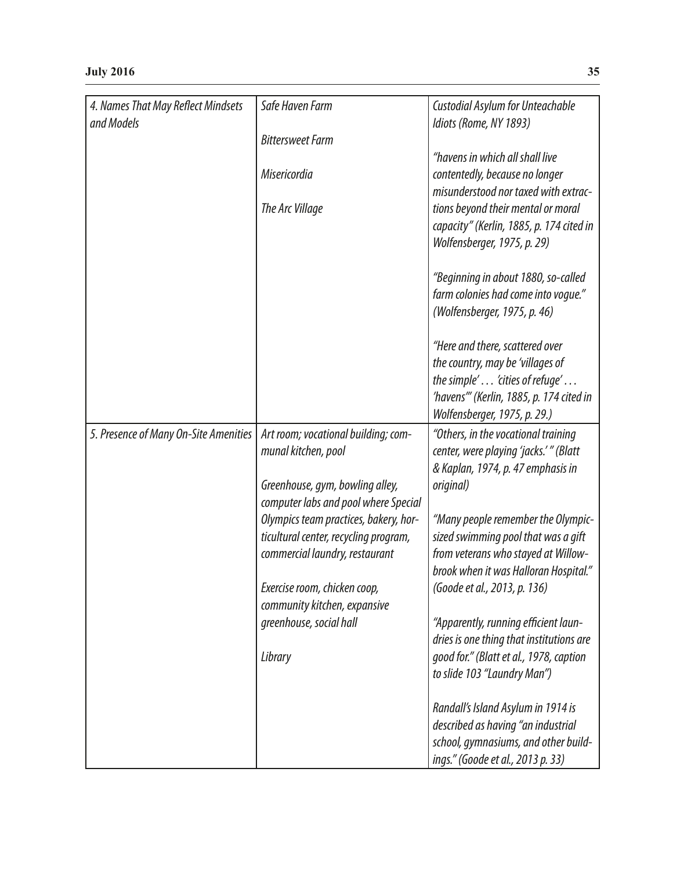| 4. Names That May Reflect Mindsets    | Safe Haven Farm                       | Custodial Asylum for Unteachable         |
|---------------------------------------|---------------------------------------|------------------------------------------|
| and Models                            |                                       | Idiots (Rome, NY 1893)                   |
|                                       | <b>Bittersweet Farm</b>               |                                          |
|                                       |                                       | "havens in which all shall live          |
|                                       | Misericordia                          | contentedly, because no longer           |
|                                       |                                       | misunderstood nor taxed with extrac-     |
|                                       | The Arc Village                       | tions beyond their mental or moral       |
|                                       |                                       |                                          |
|                                       |                                       | capacity" (Kerlin, 1885, p. 174 cited in |
|                                       |                                       | Wolfensberger, 1975, p. 29)              |
|                                       |                                       | "Beginning in about 1880, so-called      |
|                                       |                                       | farm colonies had come into voque."      |
|                                       |                                       | (Wolfensberger, 1975, p. 46)             |
|                                       |                                       |                                          |
|                                       |                                       | "Here and there, scattered over          |
|                                       |                                       | the country, may be 'villages of         |
|                                       |                                       | the simple' 'cities of refuge'           |
|                                       |                                       | 'havens'" (Kerlin, 1885, p. 174 cited in |
|                                       |                                       | Wolfensberger, 1975, p. 29.)             |
|                                       |                                       |                                          |
| 5. Presence of Many On-Site Amenities | Art room; vocational building; com-   | "Others, in the vocational training      |
|                                       | munal kitchen, pool                   | center, were playing 'jacks.'" (Blatt    |
|                                       |                                       | & Kaplan, 1974, p. 47 emphasis in        |
|                                       | Greenhouse, gym, bowling alley,       | original)                                |
|                                       | computer labs and pool where Special  |                                          |
|                                       | Olympics team practices, bakery, hor- | "Many people remember the Olympic-       |
|                                       | ticultural center, recycling program, | sized swimming pool that was a gift      |
|                                       | commercial laundry, restaurant        | from veterans who stayed at Willow-      |
|                                       |                                       | brook when it was Halloran Hospital."    |
|                                       | Exercise room, chicken coop,          | (Goode et al., 2013, p. 136)             |
|                                       |                                       |                                          |
|                                       | community kitchen, expansive          |                                          |
|                                       | greenhouse, social hall               | "Apparently, running efficient laun-     |
|                                       |                                       | dries is one thing that institutions are |
|                                       | Library                               | good for." (Blatt et al., 1978, caption  |
|                                       |                                       | to slide 103 "Laundry Man")              |
|                                       |                                       | Randall's Island Asylum in 1914 is       |
|                                       |                                       | described as having "an industrial       |
|                                       |                                       |                                          |
|                                       |                                       | school, gymnasiums, and other build-     |
|                                       |                                       | ings." (Goode et al., 2013 p. 33)        |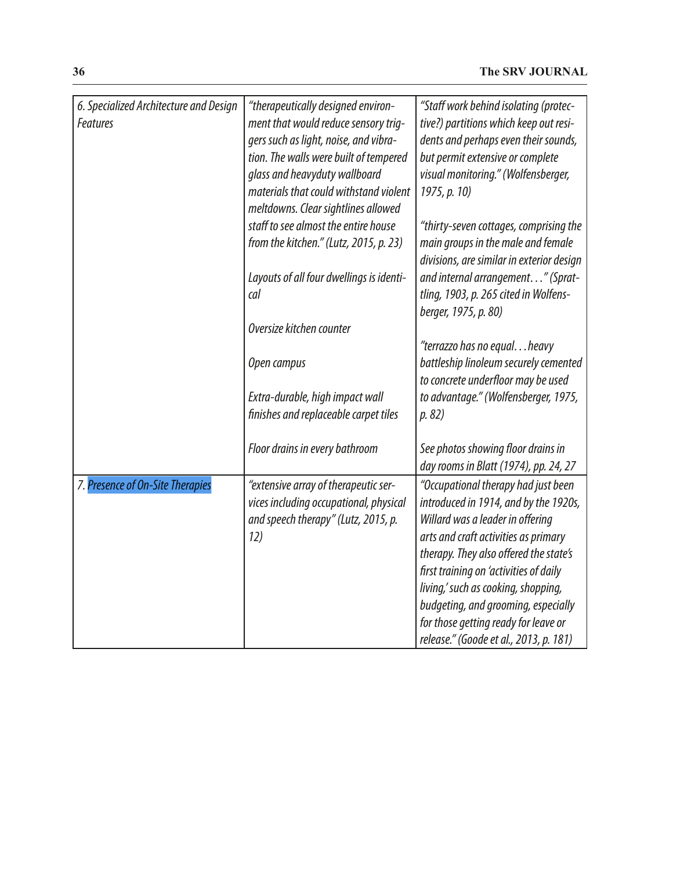| 6. Specialized Architecture and Design<br><b>Features</b> | "therapeutically designed environ-<br>ment that would reduce sensory trig-<br>gers such as light, noise, and vibra-<br>tion. The walls were built of tempered<br>glass and heavyduty wallboard<br>materials that could withstand violent<br>meltdowns. Clear sightlines allowed | "Staff work behind isolating (protec-<br>tive?) partitions which keep out resi-<br>dents and perhaps even their sounds,<br>but permit extensive or complete<br>visual monitoring." (Wolfensberger,<br>1975, p. 10)                                                                                                                                                                                           |
|-----------------------------------------------------------|---------------------------------------------------------------------------------------------------------------------------------------------------------------------------------------------------------------------------------------------------------------------------------|--------------------------------------------------------------------------------------------------------------------------------------------------------------------------------------------------------------------------------------------------------------------------------------------------------------------------------------------------------------------------------------------------------------|
|                                                           | staff to see almost the entire house<br>from the kitchen." (Lutz, 2015, p. 23)                                                                                                                                                                                                  | "thirty-seven cottages, comprising the<br>main groups in the male and female<br>divisions, are similar in exterior design                                                                                                                                                                                                                                                                                    |
|                                                           | Layouts of all four dwellings is identi-<br>cal                                                                                                                                                                                                                                 | and internal arrangement" (Sprat-<br>tling, 1903, p. 265 cited in Wolfens-<br>berger, 1975, p. 80)                                                                                                                                                                                                                                                                                                           |
|                                                           | Oversize kitchen counter                                                                                                                                                                                                                                                        |                                                                                                                                                                                                                                                                                                                                                                                                              |
|                                                           |                                                                                                                                                                                                                                                                                 | "terrazzo has no equalheavy                                                                                                                                                                                                                                                                                                                                                                                  |
|                                                           | Open campus                                                                                                                                                                                                                                                                     | battleship linoleum securely cemented<br>to concrete underfloor may be used                                                                                                                                                                                                                                                                                                                                  |
|                                                           | Extra-durable, high impact wall<br>finishes and replaceable carpet tiles                                                                                                                                                                                                        | to advantage." (Wolfensberger, 1975,<br>p. 82)                                                                                                                                                                                                                                                                                                                                                               |
|                                                           | Floor drains in every bathroom                                                                                                                                                                                                                                                  | See photos showing floor drains in<br>day rooms in Blatt (1974), pp. 24, 27                                                                                                                                                                                                                                                                                                                                  |
| 7. Presence of On-Site Therapies                          | "extensive array of therapeutic ser-<br>vices including occupational, physical<br>and speech therapy" (Lutz, 2015, p.<br>12)                                                                                                                                                    | "Occupational therapy had just been<br>introduced in 1914, and by the 1920s,<br>Willard was a leader in offering<br>arts and craft activities as primary<br>therapy. They also offered the state's<br>first training on 'activities of daily<br>living,' such as cooking, shopping,<br>budgeting, and grooming, especially<br>for those getting ready for leave or<br>release." (Goode et al., 2013, p. 181) |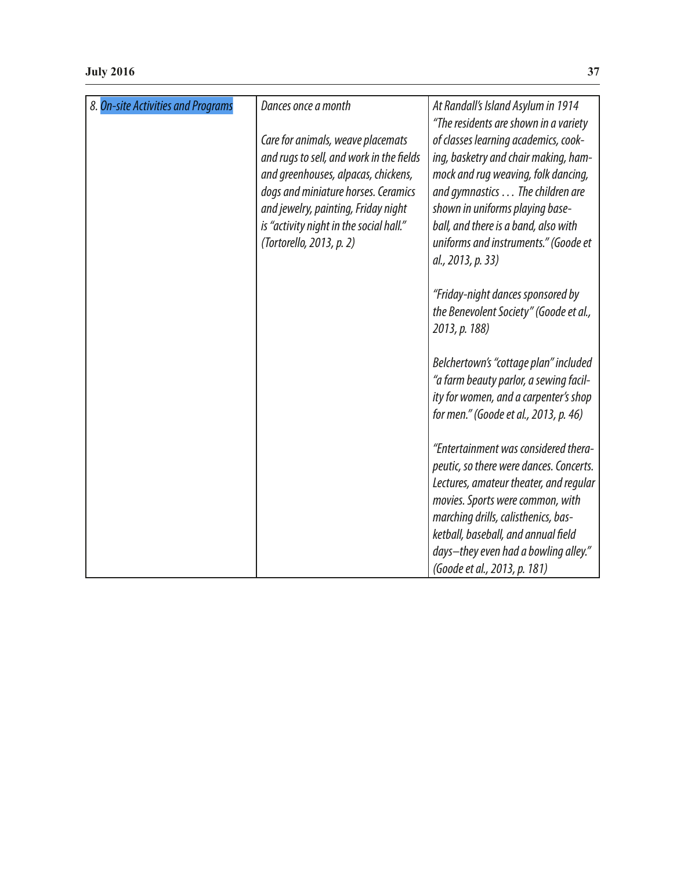| 8. On-site Activities and Programs | Dances once a month                                                                                                                                                                      | At Randall's Island Asylum in 1914<br>"The residents are shown in a variety                                                                                                                                                                                                         |
|------------------------------------|------------------------------------------------------------------------------------------------------------------------------------------------------------------------------------------|-------------------------------------------------------------------------------------------------------------------------------------------------------------------------------------------------------------------------------------------------------------------------------------|
|                                    | Care for animals, weave placemats                                                                                                                                                        | of classes learning academics, cook-                                                                                                                                                                                                                                                |
|                                    | and rugs to sell, and work in the fields                                                                                                                                                 | ing, basketry and chair making, ham-                                                                                                                                                                                                                                                |
|                                    | and greenhouses, alpacas, chickens,<br>dogs and miniature horses. Ceramics<br>and jewelry, painting, Friday night<br>is "activity night in the social hall."<br>(Tortorello, 2013, p. 2) | mock and rug weaving, folk dancing,<br>and gymnastics The children are<br>shown in uniforms playing base-<br>ball, and there is a band, also with<br>uniforms and instruments." (Goode et<br>al., 2013, p. 33)                                                                      |
|                                    |                                                                                                                                                                                          | "Friday-night dances sponsored by<br>the Benevolent Society" (Goode et al.,<br>2013, p. 188)                                                                                                                                                                                        |
|                                    |                                                                                                                                                                                          | Belchertown's "cottage plan" included<br>"a farm beauty parlor, a sewing facil-<br>ity for women, and a carpenter's shop<br>for men." (Goode et al., 2013, p. 46)                                                                                                                   |
|                                    |                                                                                                                                                                                          | "Entertainment was considered thera-<br>peutic, so there were dances. Concerts.<br>Lectures, amateur theater, and regular<br>movies. Sports were common, with<br>marching drills, calisthenics, bas-<br>ketball, baseball, and annual field<br>days-they even had a bowling alley." |
|                                    |                                                                                                                                                                                          | (Goode et al., 2013, p. 181)                                                                                                                                                                                                                                                        |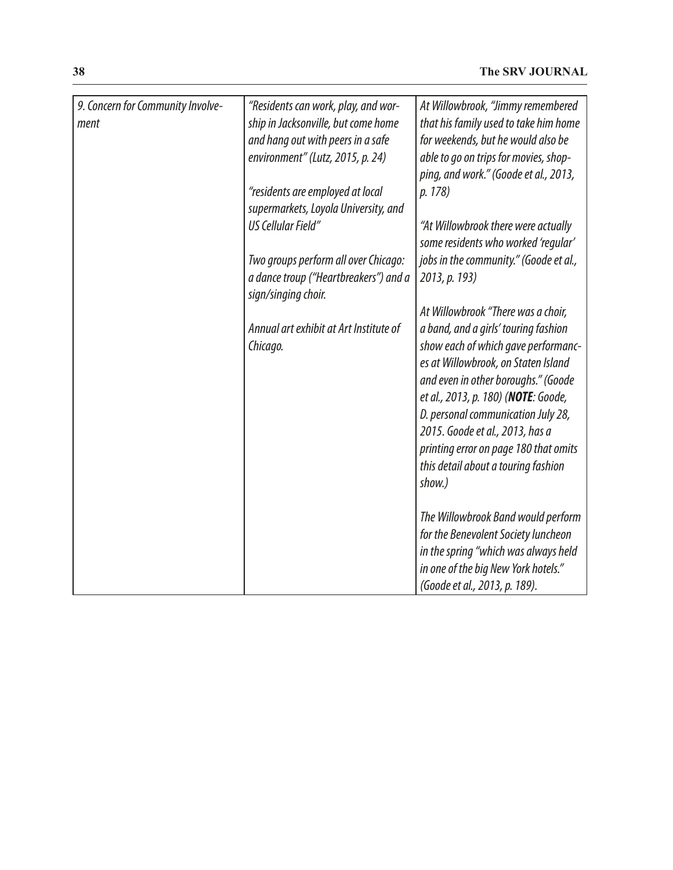| 9. Concern for Community Involve-<br>ment | "Residents can work, play, and wor-<br>ship in Jacksonville, but come home<br>and hang out with peers in a safe<br>environment" (Lutz, 2015, p. 24)<br>"residents are employed at local<br>supermarkets, Loyola University, and<br>US Cellular Field"<br>Two groups perform all over Chicago:<br>a dance troup ("Heartbreakers") and a<br>sign/singing choir.<br>Annual art exhibit at Art Institute of<br>Chicago. | At Willowbrook, "Jimmy remembered<br>that his family used to take him home<br>for weekends, but he would also be<br>able to go on trips for movies, shop-<br>ping, and work." (Goode et al., 2013,<br>p. 178)<br>"At Willowbrook there were actually<br>some residents who worked 'regular'<br>jobs in the community." (Goode et al.,<br>2013, p. 193)<br>At Willowbrook "There was a choir,<br>a band, and a girls' touring fashion<br>show each of which gave performanc-<br>es at Willowbrook, on Staten Island<br>and even in other boroughs." (Goode<br>et al., 2013, p. 180) (NOTE: Goode,<br>D. personal communication July 28,<br>2015. Goode et al., 2013, has a |
|-------------------------------------------|---------------------------------------------------------------------------------------------------------------------------------------------------------------------------------------------------------------------------------------------------------------------------------------------------------------------------------------------------------------------------------------------------------------------|---------------------------------------------------------------------------------------------------------------------------------------------------------------------------------------------------------------------------------------------------------------------------------------------------------------------------------------------------------------------------------------------------------------------------------------------------------------------------------------------------------------------------------------------------------------------------------------------------------------------------------------------------------------------------|
|                                           |                                                                                                                                                                                                                                                                                                                                                                                                                     | printing error on page 180 that omits<br>this detail about a touring fashion<br>show.)                                                                                                                                                                                                                                                                                                                                                                                                                                                                                                                                                                                    |
|                                           |                                                                                                                                                                                                                                                                                                                                                                                                                     | The Willowbrook Band would perform<br>for the Benevolent Society luncheon<br>in the spring "which was always held<br>in one of the big New York hotels."<br>(Goode et al., 2013, p. 189).                                                                                                                                                                                                                                                                                                                                                                                                                                                                                 |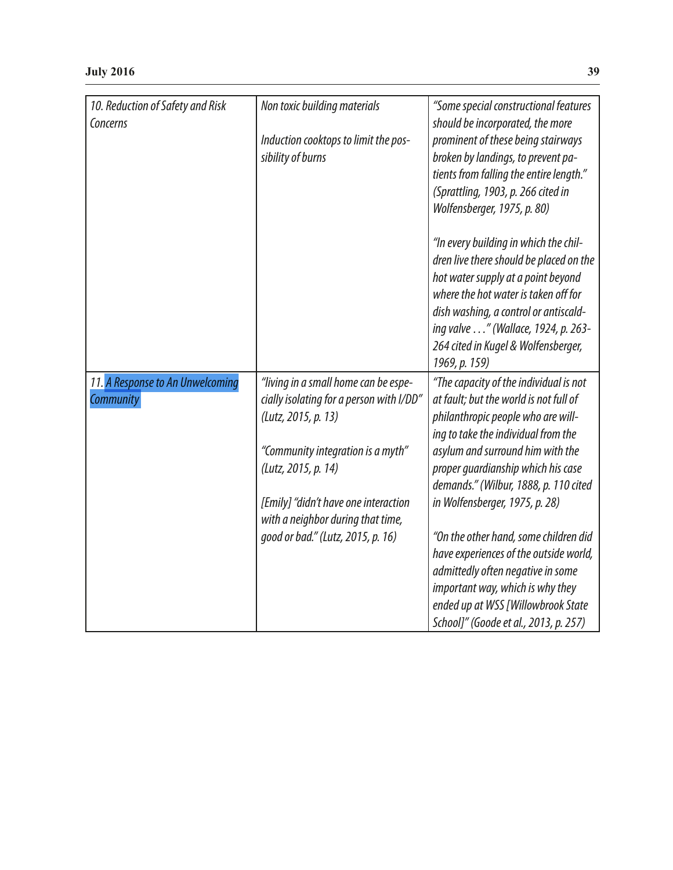| 10. Reduction of Safety and Risk<br>Concerns | Non toxic building materials             | "Some special constructional features<br>should be incorporated, the more |
|----------------------------------------------|------------------------------------------|---------------------------------------------------------------------------|
|                                              | Induction cooktops to limit the pos-     | prominent of these being stairways                                        |
|                                              | sibility of burns                        | broken by landings, to prevent pa-                                        |
|                                              |                                          | tients from falling the entire length."                                   |
|                                              |                                          | (Sprattling, 1903, p. 266 cited in                                        |
|                                              |                                          | Wolfensberger, 1975, p. 80)                                               |
|                                              |                                          | "In every building in which the chil-                                     |
|                                              |                                          | dren live there should be placed on the                                   |
|                                              |                                          | hot water supply at a point beyond                                        |
|                                              |                                          | where the hot water is taken off for                                      |
|                                              |                                          | dish washing, a control or antiscald-                                     |
|                                              |                                          | ing valve " (Wallace, 1924, p. 263-                                       |
|                                              |                                          | 264 cited in Kugel & Wolfensberger,                                       |
|                                              |                                          | 1969, p. 159)                                                             |
| 11. A Response to An Unwelcoming             | "living in a small home can be espe-     | "The capacity of the individual is not                                    |
| Community                                    | cially isolating for a person with I/DD" | at fault; but the world is not full of                                    |
|                                              | (Lutz, 2015, p. 13)                      | philanthropic people who are will-                                        |
|                                              |                                          | ing to take the individual from the                                       |
|                                              | "Community integration is a myth"        | asylum and surround him with the                                          |
|                                              | (Lutz, 2015, p. 14)                      | proper quardianship which his case                                        |
|                                              |                                          | demands." (Wilbur, 1888, p. 110 cited                                     |
|                                              | [Emily] "didn't have one interaction     | in Wolfensberger, 1975, p. 28)                                            |
|                                              | with a neighbor during that time,        |                                                                           |
|                                              | good or bad." (Lutz, 2015, p. 16)        | "On the other hand, some children did                                     |
|                                              |                                          | have experiences of the outside world,                                    |
|                                              |                                          | admittedly often negative in some                                         |
|                                              |                                          | important way, which is why they                                          |
|                                              |                                          | ended up at WSS [Willowbrook State                                        |
|                                              |                                          | School]" (Goode et al., 2013, p. 257)                                     |